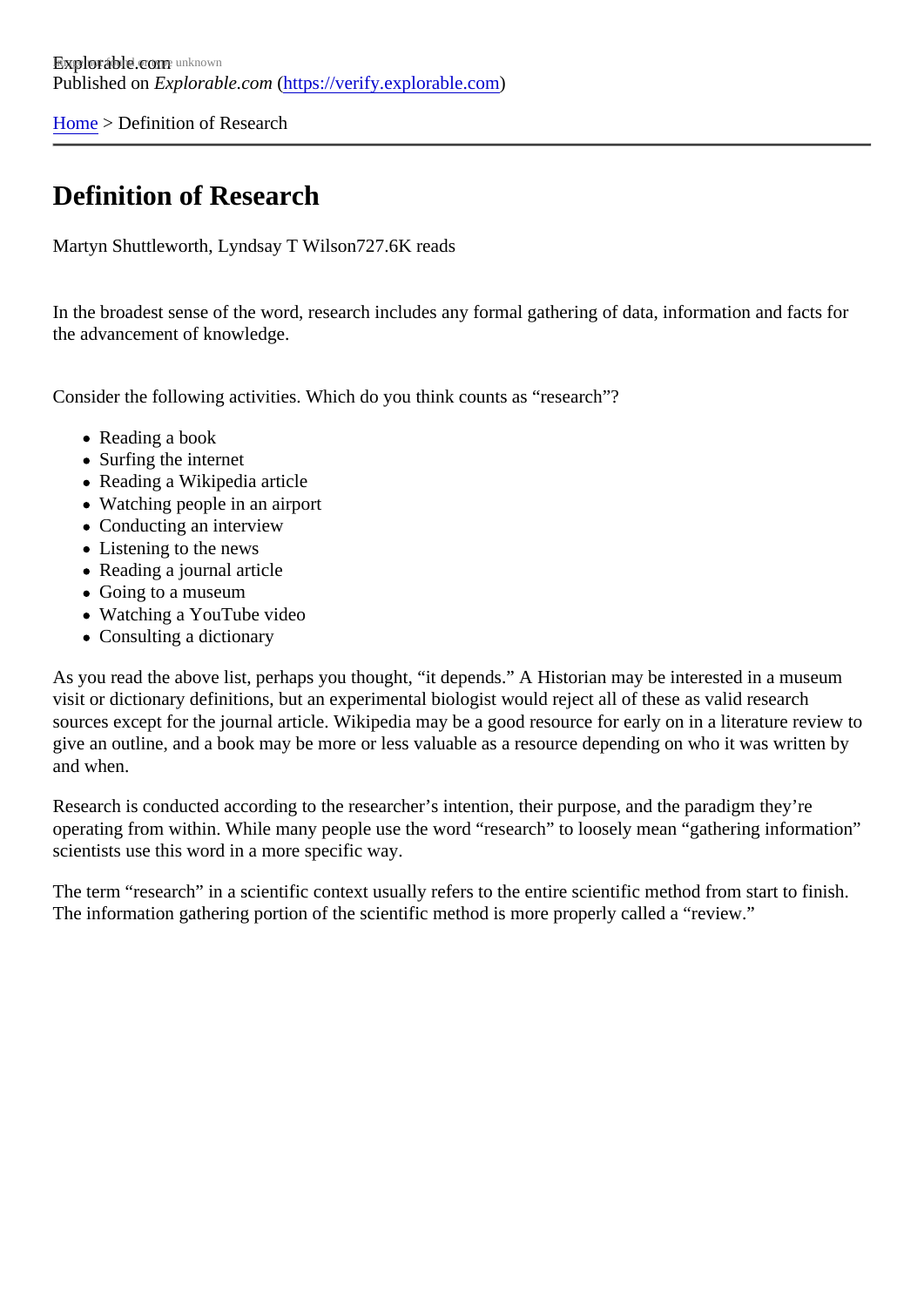[Home](https://verify.explorable.com/) > Definition of Research

## Definition of Research

Martyn Shuttleworth, Lyndsay T Wilsø 27.6K reads

In the broadest sense of the word, research includes any formal gathering of data, information and facts for the advancement of knowledge.

Consider the following activities. Which do you think counts as "research"?

- Reading a book
- Surfing the internet
- Reading a Wikipedia article
- Watching people in an airport
- Conducting an interview
- Listening to the news
- Reading a journal article
- Going to a museum
- Watching a YouTube video
- Consulting a dictionary

As you read the above list, perhaps you thought, "it depends." A Historian may be interested in a museum visit or dictionary definitions, but an experimental biologist would reject all of these as valid research sources except for the journal article. Wikipedia may be a good resource for early on in a literature review give an outline, and a book may be more or less valuable as a resource depending on who it was written by and when.

Research is conducted according to the researcher's intention, their purpose, and the paradigm they're operating from within. While many people use the word "research" to loosely mean "gathering information" scientists use this word in a more specific way.

The term "research" in a scientific context usually refers to the entire scientific method from start to finish. The information gathering portion of the scientific method is more properly called a "review."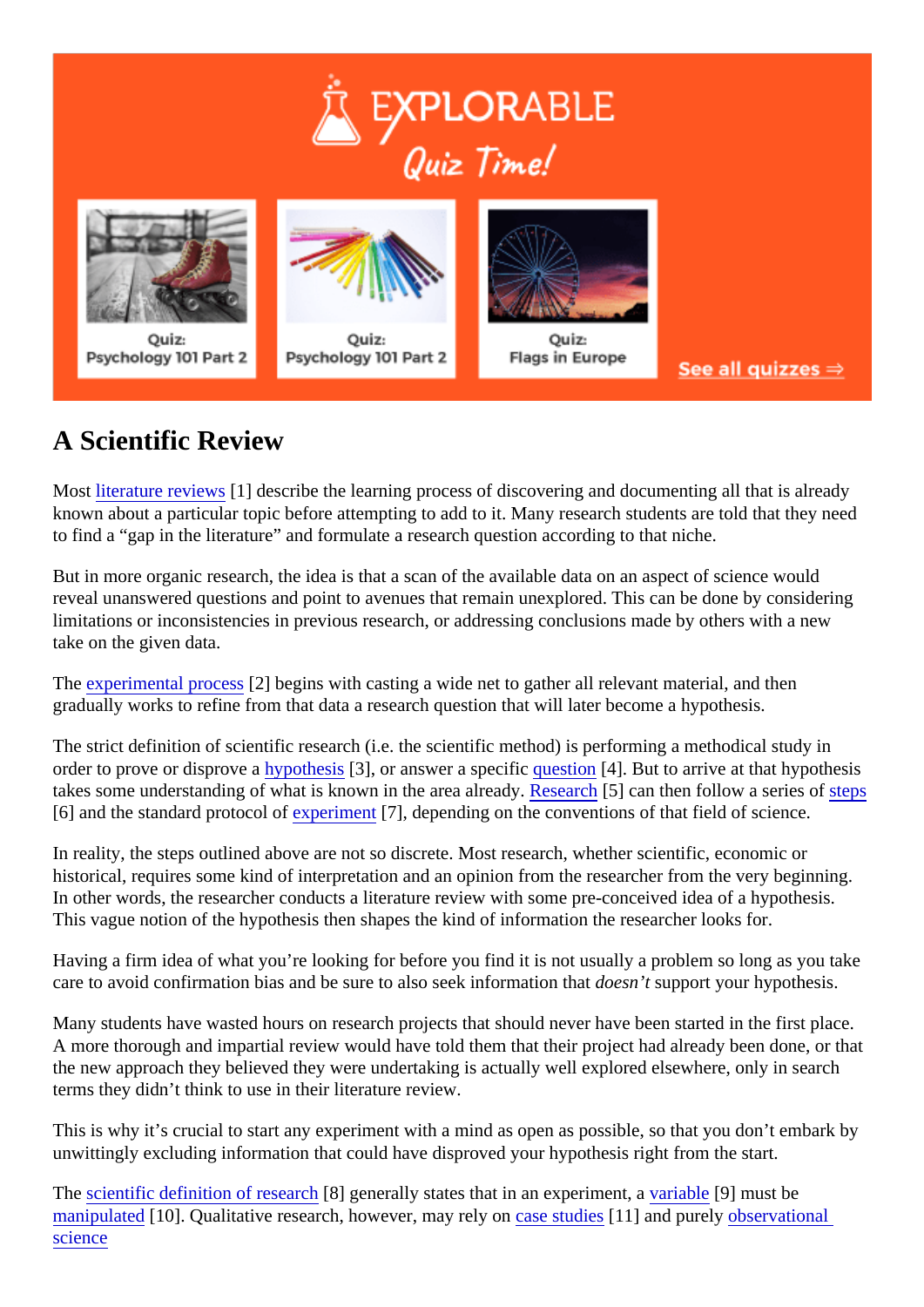## A Scientific Review

Most [literature review](https://explorable.com/what-is-a-literature-review)\$1] describe the learning process of discovering and documenting all that is already known about a particular topic before attempting to add to it. Many research students are told that they need to find a "gap in the literature" and formulate a research question according to that niche.

But in more organic research, the idea is that a scan of the available data on an aspect of science would reveal unanswered questions and point to avenues that remain unexplored. This can be done by consider limitations or inconsistencies in previous research, or addressing conclusions made by others with a new take on the given data.

The [experimental proce](https://explorable.com/experimental-research) §2] begins with casting a wide net to gather all relevant material, and then gradually works to refine from that data a research question that will later become a hypothesis.

The strict definition of scientific research (i.e. the scientific method) is performing a methodical study in order to prove or disprove ay pothesis[3], or answer a specifiquestion[4]. But to arrive at that hypothesis takes some understanding of what is known in the area already arch 5] can then follow a series of eps [6] and the standard protocol *experiment*[7], depending on the conventions of that field of science.

In reality, the steps outlined above are not so discrete. Most research, whether scientific, economic or historical, requires some kind of interpretation and an opinion from the researcher from the very beginning In other words, the researcher conducts a literature review with some pre-conceived idea of a hypothesis. This vague notion of the hypothesis then shapes the kind of information the researcher looks for.

Having a firm idea of what you're looking for before you find it is not usually a problem so long as you take care to avoid confirmation bias and be sure to also seek information that isupport your hypothesis.

Many students have wasted hours on research projects that should never have been started in the first plant A more thorough and impartial review would have told them that their project had already been done, or that the new approach they believed they were undertaking is actually well explored elsewhere, only in search terms they didn't think to use in their literature review.

This is why it's crucial to start any experiment with a mind as open as possible, so that you don't embark b unwittingly excluding information that could have disproved your hypothesis right from the start.

The scientific definition of researd<sup>[8]</sup> generally states that in an experiment a able<sup>[9]</sup> must be [manipulated](https://explorable.com/independent-variable) 10]. Qualitative research, however, may rely case studies 1] and purel[y observationa](https://explorable.com/observational-study)l [science](https://explorable.com/observational-study)